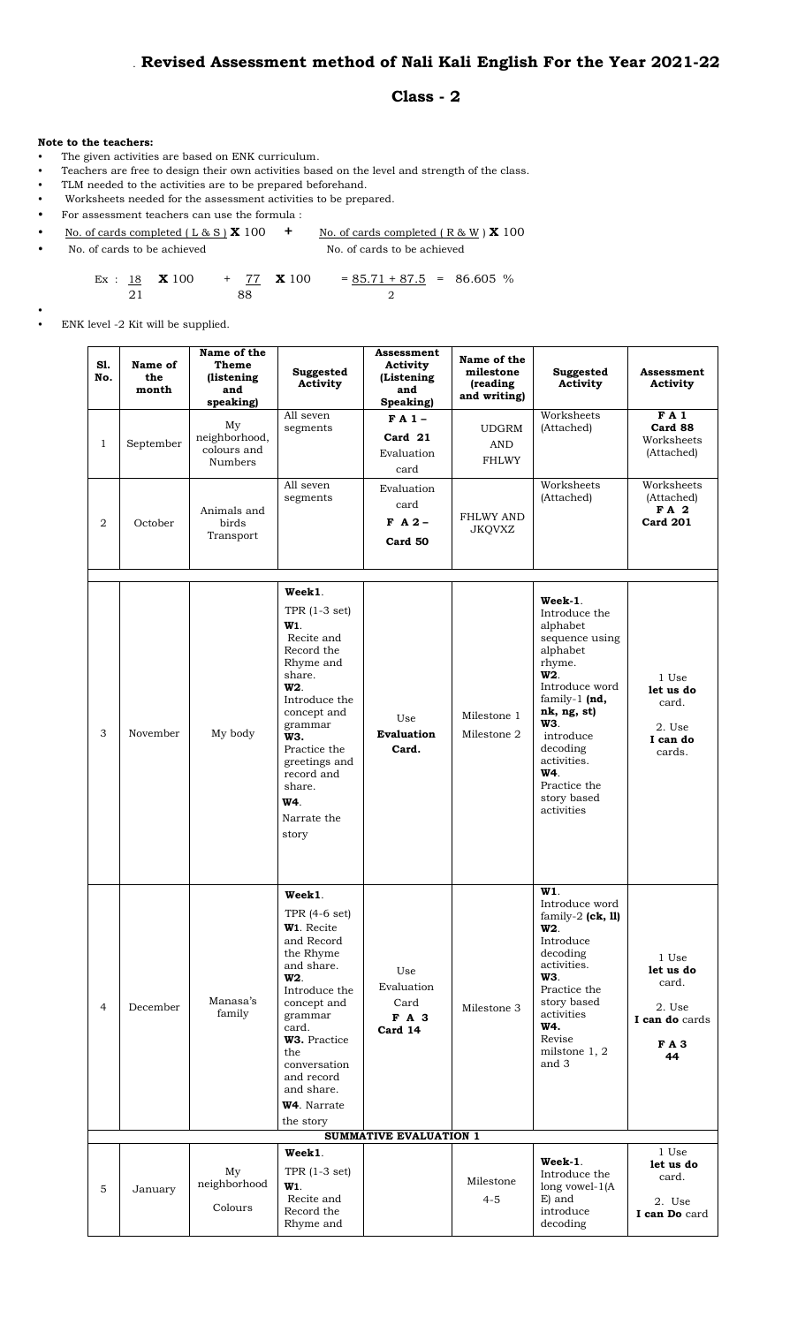## . **Revised Assessment method of Nali Kali English For the Year 2021-22**

## **Class - 2**

## **Note to the teachers:**

•

- The given activities are based on ENK curriculum.
- Teachers are free to design their own activities based on the level and strength of the class.
- TLM needed to the activities are to be prepared beforehand.<br>• Worksheets needed for the assessment activities to be prep
- Worksheets needed for the assessment activities to be prepared.
- For assessment teachers can use the formula :

| No. of cards completed (L & S $\chi$ 100 | No. of cards completed $(R & W) X 100$ |
|------------------------------------------|----------------------------------------|
| No. of cards to be achieved              | No. of cards to be achieved            |

- Ex : 18  $\textbf{X}$  100 + 77  $\textbf{X}$  100 = 85.71 + 87.5 = 86.605 % 21 88 2
- ENK level -2 Kit will be supplied.

| S1.<br>No.     | Name of<br>the<br>month | Name of the<br>Theme<br>(listening<br>and<br>speaking) | Suggested<br>Activity                                                                                                                                                                                                                                                         | Assessment<br>Activity<br>(Listening<br>and<br>Speaking) | Name of the<br>milestone<br>(reading<br>and writing) | Suggested<br>Activity                                                                                                                                                                                                                                 | <b>Assessment</b><br>Activity                                               |
|----------------|-------------------------|--------------------------------------------------------|-------------------------------------------------------------------------------------------------------------------------------------------------------------------------------------------------------------------------------------------------------------------------------|----------------------------------------------------------|------------------------------------------------------|-------------------------------------------------------------------------------------------------------------------------------------------------------------------------------------------------------------------------------------------------------|-----------------------------------------------------------------------------|
| 1              | September               | My<br>neighborhood,<br>colours and<br>Numbers          | All seven<br>segments                                                                                                                                                                                                                                                         | $FA1-$<br>Card 21<br>Evaluation<br>card                  | <b>UDGRM</b><br>AND<br><b>FHLWY</b>                  | Worksheets<br>(Attached)                                                                                                                                                                                                                              | FA1<br>Card 88<br>Worksheets<br>(Attached)                                  |
| 2              | October                 | Animals and<br>birds<br>Transport                      | All seven<br>segments                                                                                                                                                                                                                                                         | Evaluation<br>card<br>$F A 2 -$<br>Card 50               | <b>FHLWY AND</b><br><b>JKQVXZ</b>                    | Worksheets<br>(Attached)                                                                                                                                                                                                                              | Worksheets<br>(Attached)<br>FA 2<br><b>Card 201</b>                         |
| 3              | November                | My body                                                | Week1.<br>TPR $(1-3 set)$<br>W <sub>1</sub><br>Recite and<br>Record the<br>Rhyme and<br>share.<br>W <sub>2</sub> .<br>Introduce the<br>concept and<br>grammar<br>W3.<br>Practice the<br>greetings and<br>record and<br>share.<br>W4.<br>Narrate the<br>story                  | Use<br><b>Evaluation</b><br>Card.                        | Milestone 1<br>Milestone 2                           | Week-1.<br>Introduce the<br>alphabet<br>sequence using<br>alphabet<br>rhyme.<br>W <sub>2</sub><br>Introduce word<br>family-1 $(nd,$<br>nk, ng, st)<br>WЗ.<br>introduce<br>decoding<br>activities.<br>W4.<br>Practice the<br>story based<br>activities | 1 Use<br>let us do<br>card.<br>2. Use<br>I can do<br>cards.                 |
| $\overline{4}$ | December                | Manasa's<br>family                                     | Week1.<br>TPR (4-6 set)<br>W <sub>1</sub> . Recite<br>and Record<br>the Rhyme<br>and share.<br>W <sub>2</sub><br>Introduce the<br>concept and<br>grammar<br>card.<br>W3. Practice<br>the<br>conversation<br>and record<br>and share.<br>W <sub>4</sub> . Narrate<br>the story | Use<br>Evaluation<br>Card<br>F A 3<br>Card 14            | Milestone 3                                          | W1.<br>Introduce word<br>family-2 $(ck, 11)$<br>W <sub>2</sub><br>Introduce<br>decoding<br>activities.<br><b>W3.</b><br>Practice the<br>story based<br>activities<br>W4.<br>Revise<br>milstone 1, 2<br>and 3                                          | 1 Use<br>let us do<br>card.<br>2. Use<br>I can do cards<br><b>FA3</b><br>44 |
|                |                         |                                                        |                                                                                                                                                                                                                                                                               | SUMMATIVE EVALUATION 1                                   |                                                      |                                                                                                                                                                                                                                                       |                                                                             |
| 5              | January                 | My<br>$\operatorname{neighborhood}$<br>Colours         | Week1.<br>TPR $(1-3 set)$<br>W <sub>1</sub><br>Recite and<br>Record the<br>Rhyme and                                                                                                                                                                                          |                                                          | Milestone<br>$4 - 5$                                 | Week-1.<br>Introduce the<br>long vowel- $1(A)$<br>E) and<br>introduce<br>decoding                                                                                                                                                                     | 1 Use<br>let us do<br>card.<br>2. Use<br>I can Do card                      |